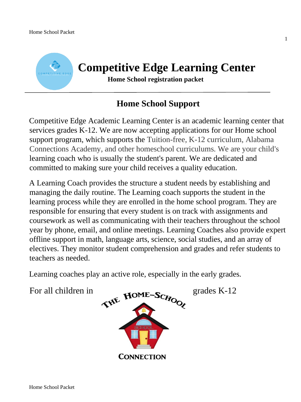

# **Home School Support**

Competitive Edge Academic Learning Center is an academic learning center that services grades K-12. We are now accepting applications for our Home school support program, which supports the Tuition-free, K-12 curriculum, Alabama Connections Academy, and other homeschool curriculums. We are your child's learning coach who is usually the student's parent. We are dedicated and committed to making sure your child receives a quality education.

A Learning Coach provides the structure a student needs by establishing and managing the daily routine. The Learning coach supports the student in the learning process while they are enrolled in the home school program. They are responsible for ensuring that every student is on track with assignments and coursework as well as communicating with their teachers throughout the school year by phone, email, and online meetings. Learning Coaches also provide expert offline support in math, language arts, science, social studies, and an array of electives. They monitor student comprehension and grades and refer students to teachers as needed.

Learning coaches play an active role, especially in the early grades.

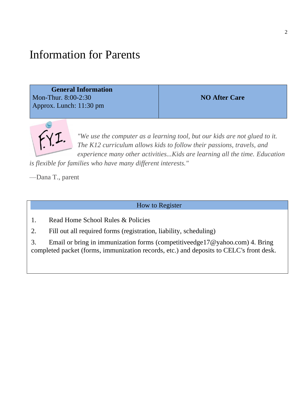## Information for Parents

 **General Information**  Mon-Thur. 8:00-2:30 Approx. Lunch: 11:30 pm

**NO After Care**



*"We use the computer as a learning tool, but our kids are not glued to it. The K12 curriculum allows kids to follow their passions, travels, and experience many other activities...Kids are learning all the time. Education* 

*is flexible for families who have many different interests."*

—Dana T., parent

How to Register

- 1. Read Home School Rules & Policies
- 2. Fill out all required forms (registration, liability, scheduling)

3. Email or bring in immunization forms (competitiveedge17@yahoo.com) 4. Bring completed packet (forms, immunization records, etc.) and deposits to CELC's front desk.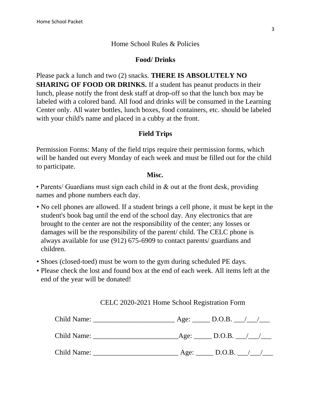## Home School Rules & Policies

## **Food/ Drinks**

Please pack a lunch and two (2) snacks. **THERE IS ABSOLUTELY NO SHARING OF FOOD OR DRINKS.** If a student has peanut products in their lunch, please notify the front desk staff at drop-off so that the lunch box may be labeled with a colored band. All food and drinks will be consumed in the Learning Center only. All water bottles, lunch boxes, food containers, etc. should be labeled with your child's name and placed in a cubby at the front.

## **Field Trips**

Permission Forms: Many of the field trips require their permission forms, which will be handed out every Monday of each week and must be filled out for the child to participate.

## **Misc.**

• Parents/ Guardians must sign each child in & out at the front desk, providing names and phone numbers each day.

- No cell phones are allowed. If a student brings a cell phone, it must be kept in the student's book bag until the end of the school day. Any electronics that are brought to the center are not the responsibility of the center; any losses or damages will be the responsibility of the parent/ child. The CELC phone is always available for use (912) 675-6909 to contact parents/ guardians and children.
- Shoes (closed-toed) must be worn to the gym during scheduled PE days.
- Please check the lost and found box at the end of each week. All items left at the end of the year will be donated!

CELC 2020-2021 Home School Registration Form

| Child Name: | Age: | D.O.B.               |
|-------------|------|----------------------|
| Child Name: |      | $\text{Age:}$ D.O.B. |
| Child Name: | Age: | D.O.B.               |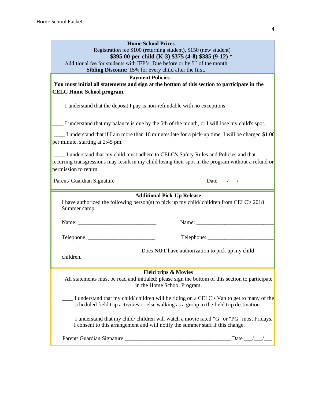| <b>Home School Prices</b>                                                                                    |                                                                                                                                                                                        |  |
|--------------------------------------------------------------------------------------------------------------|----------------------------------------------------------------------------------------------------------------------------------------------------------------------------------------|--|
|                                                                                                              | Registration fee \$100 (returning student), \$150 (new student)                                                                                                                        |  |
| Additional fee for students with IEP's. Due before or by $5th$ of the month                                  | \$395.00 per child (K-3) \$375 (4-8) \$385 (9-12) *                                                                                                                                    |  |
| Sibling Discount: 15% for every child after the first.                                                       |                                                                                                                                                                                        |  |
| <b>Payment Policies</b>                                                                                      |                                                                                                                                                                                        |  |
|                                                                                                              | You must initial all statements and sign at the bottom of this section to participate in the                                                                                           |  |
| <b>CELC Home School program.</b>                                                                             |                                                                                                                                                                                        |  |
| I understand that the deposit I pay is non-refundable with no exceptions                                     |                                                                                                                                                                                        |  |
|                                                                                                              | I understand that my balance is due by the 5th of the month, or I will lose my child's spot.                                                                                           |  |
| per minute, starting at 2:45 pm.                                                                             | I understand that if I am more than 10 minutes late for a pick-up time, I will be charged \$1.00                                                                                       |  |
| I understand that my child must adhere to CELC's Safety Rules and Policies and that<br>permission to return. | recurring transgressions may result in my child losing their spot in the program without a refund or                                                                                   |  |
|                                                                                                              |                                                                                                                                                                                        |  |
| Summer camp.                                                                                                 | <b>Additional Pick-Up Release</b><br>I have authorized the following person(s) to pick up my child/children from CELC's 2018                                                           |  |
|                                                                                                              | Name:                                                                                                                                                                                  |  |
|                                                                                                              |                                                                                                                                                                                        |  |
| Does <b>NOT</b> have authorization to pick up my child<br>children.                                          |                                                                                                                                                                                        |  |
|                                                                                                              | <b>Field trips &amp; Movies</b><br>All statements must be read and initialed; please sign the bottom of this section to participate<br>in the Home School Program.                     |  |
|                                                                                                              | I understand that my child/ children will be riding on a CELC's Van to get to many of the<br>scheduled field trip activities or else walking as a group to the field trip destination. |  |
|                                                                                                              | I understand that my child/children will watch a movie rated "G" or "PG" most Fridays,<br>I consent to this arrangement and will notify the summer staff if this change.               |  |
|                                                                                                              |                                                                                                                                                                                        |  |

4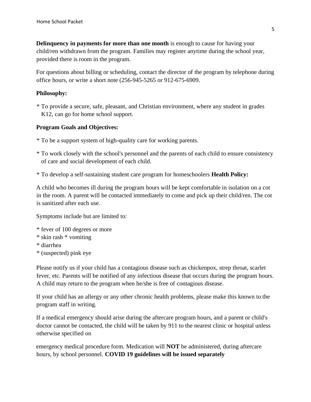**Delinquency in payments for more than one month** is enough to cause for having your child/ren withdrawn from the program. Families may register anytime during the school year, provided there is room in the program.

For questions about billing or scheduling, contact the director of the program by telephone during office hours, or write a short note (256-945-5265 or 912-675-6909.

### **Philosophy:**

\* To provide a secure, safe, pleasant, and Christian environment, where any student in grades K12, can go for home school support.

## **Program Goals and Objectives:**

- \* To be a support system of high-quality care for working parents.
- \* To work closely with the school's personnel and the parents of each child to ensure consistency of care and social development of each child.
- \* To develop a self-sustaining student care program for homeschoolers **Health Policy:**

A child who becomes ill during the program hours will be kept comfortable in isolation on a cot in the room. A parent will be contacted immediately to come and pick up their child/ren. The cot is sanitized after each use.

Symptoms include but are limited to:

- \* fever of 100 degrees or more
- \* skin rash \* vomiting
- \* diarrhea
- \* (suspected) pink eye

Please notify us if your child has a contagious disease such as chickenpox, strep throat, scarlet fever, etc. Parents will be notified of any infectious disease that occurs during the program hours. A child may return to the program when he/she is free of contagious disease.

If your child has an allergy or any other chronic health problems, please make this known to the program staff in writing.

If a medical emergency should arise during the aftercare program hours, and a parent or child's doctor cannot be contacted, the child will be taken by 911 to the nearest clinic or hospital unless otherwise specified on

emergency medical procedure form. Medication will **NOT** be administered, during aftercare hours, by school personnel. **COVID 19 guidelines will be issued separately**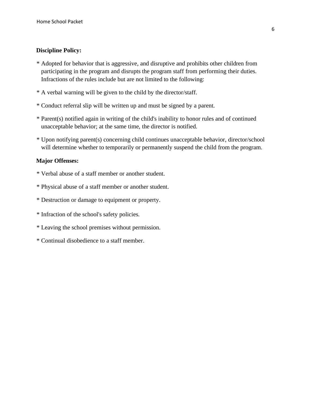## **Discipline Policy:**

- \* Adopted for behavior that is aggressive, and disruptive and prohibits other children from participating in the program and disrupts the program staff from performing their duties. Infractions of the rules include but are not limited to the following:
- \* A verbal warning will be given to the child by the director/staff.
- \* Conduct referral slip will be written up and must be signed by a parent.
- \* Parent(s) notified again in writing of the child's inability to honor rules and of continued unacceptable behavior; at the same time, the director is notified.
- \* Upon notifying parent(s) concerning child continues unacceptable behavior, director/school will determine whether to temporarily or permanently suspend the child from the program.

#### **Major Offenses:**

- \* Verbal abuse of a staff member or another student.
- \* Physical abuse of a staff member or another student.
- \* Destruction or damage to equipment or property.
- \* Infraction of the school's safety policies.
- \* Leaving the school premises without permission.
- \* Continual disobedience to a staff member.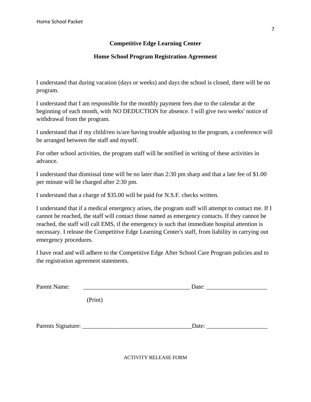## **Competitive Edge Learning Center**

## **Home School Program Registration Agreement**

I understand that during vacation (days or weeks) and days the school is closed, there will be no program.

I understand that I am responsible for the monthly payment fees due to the calendar at the beginning of each month, with NO DEDUCTION for absence. I will give two weeks' notice of withdrawal from the program.

I understand that if my child/ren is/are having trouble adjusting to the program, a conference will be arranged between the staff and myself.

For other school activities, the program staff will be notified in writing of these activities in advance.

I understand that dismissal time will be no later than 2:30 pm sharp and that a late fee of \$1.00 per minute will be charged after 2:30 pm.

I understand that a charge of \$35.00 will be paid for N.S.F. checks written.

I understand that if a medical emergency arises, the program staff will attempt to contact me. If I cannot be reached, the staff will contact those named as emergency contacts. If they cannot be reached, the staff will call EMS, if the emergency is such that immediate hospital attention is necessary. I release the Competitive Edge Learning Center's staff, from liability in carrying out emergency procedures.

I have read and will adhere to the Competitive Edge After School Care Program policies and to the registration agreement statements.

| Parent Name: |         | Date: the contract of the contract of the contract of the contract of the contract of the contract of the contract of the contract of the contract of the contract of the contract of the contract of the contract of the cont |  |
|--------------|---------|--------------------------------------------------------------------------------------------------------------------------------------------------------------------------------------------------------------------------------|--|
|              | (Print) |                                                                                                                                                                                                                                |  |
|              |         | Date:                                                                                                                                                                                                                          |  |

ACTIVITY RELEASE FORM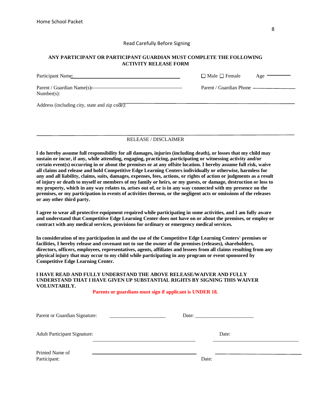#### Read Carefully Before Signing

#### **ANY PARTICIPANT OR PARTICIPANT GUARDIAN MUST COMPLETE THE FOLLOWING ACTIVITY RELEASE FORM**

| Participant Name:                             | $\Box$ Male $\Box$ Female<br>Age |
|-----------------------------------------------|----------------------------------|
| Parent / Guardian Name(s):<br>$Number(s)$ :   | Parent / Guardian Phone —        |
| Address (including city, state and zip code): |                                  |

#### RELEASE / DISCLAIMER

**I do hereby assume full responsibility for all damages, injuries (including death), or losses that my child may sustain or incur, if any, while attending, engaging, practicing, participating or witnessing activity and/or certain event(s) occurring in or about the premises or at any offsite location. I hereby assume full risk, waive all claims and release and hold Competitive Edge Learning Centers individually or otherwise, harmless for any and all liability, claims, suits, damages, expenses, fees, actions, or rights of action or judgments as a result of injury or death to myself or members of my family or heirs, or my guests, or damage, destruction or loss to my property, which in any way relates to, arises out of, or is in any way connected with my presence on the premises, or my participation in events of activities thereon, or the negligent acts or omissions of the releases or any other third party.** 

**I agree to wear all protective equipment required while participating in some activities, and I am fully aware and understand that Competitive Edge Learning Center does not have on or about the premises, or employ or contract with any medical services, provisions for ordinary or emergency medical services.** 

**In consideration of my participation in and the use of the Competitive Edge Learning Centers' premises or facilities, I hereby release and covenant not to sue the owner of the premises (releases), shareholders, directors, officers, employees, representatives, agents, affiliates and lessees from all claims resulting from any physical injury that may occur to my child while participating in any program or event sponsored by Competitive Edge Learning Center.** 

#### **I HAVE READ AND FULLY UNDERSTAND THE ABOVE RELEASE/WAIVER AND FULLY UNDERSTAND THAT I HAVE GIVEN UP SUBSTANTIAL RIGHTS BY SIGNING THIS WAIVER VOLUNTARILY.**

#### **Parents or guardians must sign if applicant is UNDER 18.**

| Parent or Guardian Signature:<br><u> 1980 - Jan Barbarat, manala</u> |       |  |
|----------------------------------------------------------------------|-------|--|
| <b>Adult Participant Signature:</b>                                  | Date: |  |
| Printed Name of<br>Participant:                                      | Date: |  |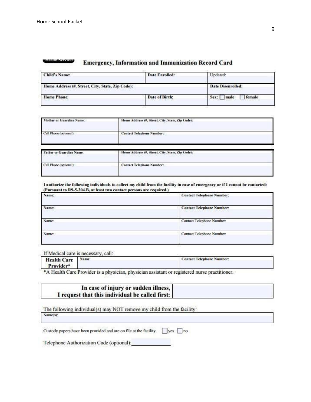#### пеша этомки **Emergency, Information and Immunization Record Card**

| <b>Child's Name:</b>                             | Date Enrolled: | Undated:                 |  |
|--------------------------------------------------|----------------|--------------------------|--|
| Home Address (#, Street, City, State, Zip Code): |                | <b>Date Disenrolled:</b> |  |
| <b>Home Phone:</b>                               | Date of Birth: | female<br>male<br>Sex:   |  |

| Mother or Guardian Name:                                          | Home Address (#, Street, City, State, Zip Code):                                                                               |  |
|-------------------------------------------------------------------|--------------------------------------------------------------------------------------------------------------------------------|--|
| Cell Phone (optional):                                            | <b>Contact Telephone Number:</b>                                                                                               |  |
| <b>Father or Guardian Name:</b><br>,,,,,,,,,,,,,,,,,,,,,,,,,,,,,, | Home Address (#, Street, City, State, Zip Code):<br>30 - 10 - 2010 10:00 P.M. S. M. WARD AT THE REPORT OF THE THE THE RELEASE. |  |
|                                                                   |                                                                                                                                |  |

#### I authorize the following individuals to collect my child from the facility in case of emergency or if I cannot be contacted: (Pursuant to R9-5-304.B, at least two contact persons are required.)

| Name: | <b>Contact Telephone Number:</b>                                                                                                                   |
|-------|----------------------------------------------------------------------------------------------------------------------------------------------------|
| Name: | <b>Contact Telephone Number:</b><br>an a series of the control of the control of the control of the control of the control of the control of the c |
| Name: | Contact Telephone Number:                                                                                                                          |
| Name: | Contact Telephone Number:                                                                                                                          |

If Medical care is necessary, call:

| <b>Health Care</b><br>Provider*    | Name:             | <b>Contact Telephone Number:</b> |  |
|------------------------------------|-------------------|----------------------------------|--|
| the common the state of the common | <b>CONTRACTOR</b> |                                  |  |

\*A Health Care Provider is a physician, physician assistant or registered nurse practitioner.

| In case of injury or sudden illness,            |  |
|-------------------------------------------------|--|
| I request that this individual be called first: |  |

| The following individual(s) may NOT remove my child from the facility: |  |
|------------------------------------------------------------------------|--|
| Name(s):                                                               |  |

|  | Custody papers have been provided and are on file at the facility. |  | <b>yes</b> | no |
|--|--------------------------------------------------------------------|--|------------|----|

Telephone Authorization Code (optional):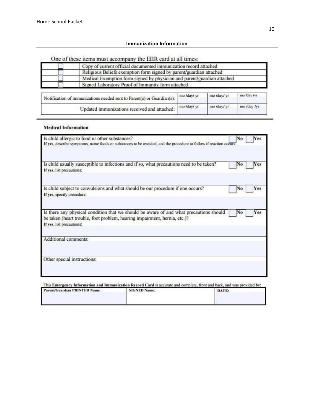## **Immunization Information**

One of these items must accompany the EIIR card at all times:

| Copy of current official documented immunization record attached        |             |             |             |  |
|-------------------------------------------------------------------------|-------------|-------------|-------------|--|
| Religious Beliefs exemption form signed by parent/guardian attached     |             |             |             |  |
| Medical Exemption form signed by physician and parent/guardian attached |             |             |             |  |
| Signed Laboratory Proof of Immunity form attached                       |             |             |             |  |
| Notification of immunizations needed sent to Parent(s) or Guardian(s):  | mo /day/ yr | mo /day/ yr | mo Iday Ivr |  |
|                                                                         | mo /day/ yr | mo /day/ yr | mo /day /vr |  |
| Updated immunizations received and attached:                            |             |             |             |  |

#### **Medical Information**

| Is child allergic to food or other substances?<br>If yes, describe symptoms, name foods or substances to be avoided, and the procedure to follow if reaction occurs.                             | No | Yes        |
|--------------------------------------------------------------------------------------------------------------------------------------------------------------------------------------------------|----|------------|
| Is child usually susceptible to infections and if so, what precautions need to be taken?<br>If yes, list precautions:                                                                            | No | Yes        |
| Is child subject to convulsions and what should be our procedure if one occurs?<br>If yes, specify procedure!                                                                                    | No | Yes        |
| Is there any physical condition that we should be aware of and what precautions should<br>be taken (heart trouble, foot problem, hearing impairment, hernia, etc.)?<br>If yes, list precautions: | No | <b>Yes</b> |
| Additional comments:                                                                                                                                                                             |    |            |
| Other special instructions:                                                                                                                                                                      |    |            |

| This Emergency Information and Immunization Record Card is accurate and complete, front and back, and was provided by: |                     |       |  |  |  |
|------------------------------------------------------------------------------------------------------------------------|---------------------|-------|--|--|--|
| Parent/Guardian PRINTED Name:                                                                                          | <b>SIGNED Name:</b> | DATE: |  |  |  |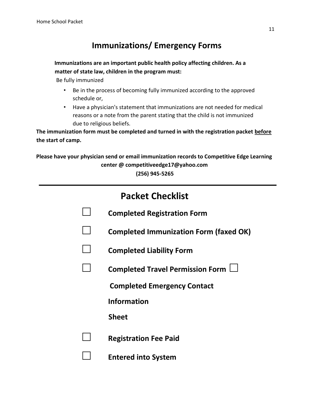## **Immunizations/ Emergency Forms**

## **Immunizations are an important public health policy affecting children. As a matter of state law, children in the program must:**

Be fully immunized

- Be in the process of becoming fully immunized according to the approved schedule or,
- Have a physician's statement that immunizations are not needed for medical reasons or a note from the parent stating that the child is not immunized due to religious beliefs.

**The immunization form must be completed and turned in with the registration packet before the start of camp.** 

**Please have your physician send or email immunization records to Competitive Edge Learning center @ competitiveedge17@yahoo.com (256) 945-5265** 

| <b>Packet Checklist</b> |                                               |  |  |  |
|-------------------------|-----------------------------------------------|--|--|--|
|                         | <b>Completed Registration Form</b>            |  |  |  |
|                         | <b>Completed Immunization Form (faxed OK)</b> |  |  |  |
|                         | <b>Completed Liability Form</b>               |  |  |  |
|                         | Completed Travel Permission Form $\Box$       |  |  |  |
|                         | <b>Completed Emergency Contact</b>            |  |  |  |
|                         | <b>Information</b>                            |  |  |  |
|                         | <b>Sheet</b>                                  |  |  |  |
|                         | <b>Registration Fee Paid</b>                  |  |  |  |
|                         | <b>Entered into System</b>                    |  |  |  |